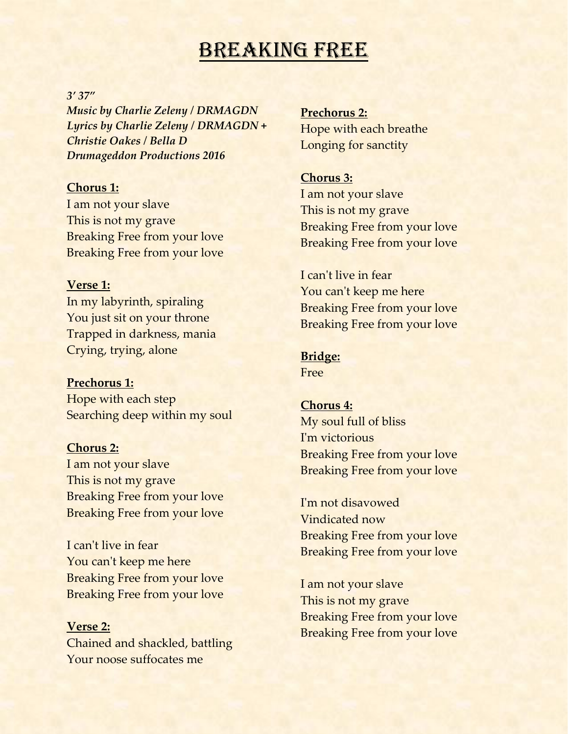# BREAKING FREE

#### *3' 37"*

*Music by Charlie Zeleny / DRMAGDN Lyrics by Charlie Zeleny / DRMAGDN + Christie Oakes / Bella D Drumageddon Productions 2016*

## **Chorus 1:**

I am not your slave This is not my grave Breaking Free from your love Breaking Free from your love

### **Verse 1:**

In my labyrinth, spiraling You just sit on your throne Trapped in darkness, mania Crying, trying, alone

### **Prechorus 1:**

Hope with each step Searching deep within my soul

**Chorus 2:** I am not your slave This is not my grave Breaking Free from your love Breaking Free from your love

I can't live in fear You can't keep me here Breaking Free from your love Breaking Free from your love

**Verse 2:** Chained and shackled, battling Your noose suffocates me

**Prechorus 2:** Hope with each breathe Longing for sanctity

## **Chorus 3:**

I am not your slave This is not my grave Breaking Free from your love Breaking Free from your love

I can't live in fear You can't keep me here Breaking Free from your love Breaking Free from your love

# **Bridge:**

Free

#### **Chorus 4:**

My soul full of bliss I'm victorious Breaking Free from your love Breaking Free from your love

I'm not disavowed Vindicated now Breaking Free from your love Breaking Free from your love

I am not your slave This is not my grave Breaking Free from your love Breaking Free from your love